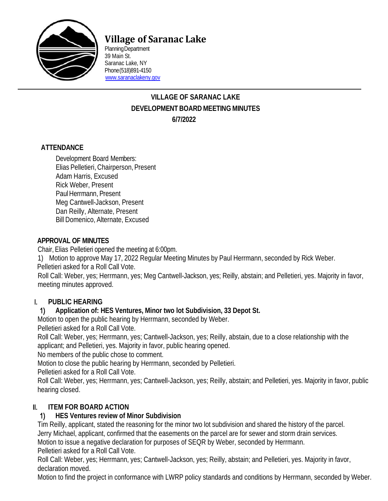

# **Village of Saranac Lake**

PlanningDepartment 39 Main St. Saranac Lake, NY Phone(518)891-4150 [www.saranaclakeny.gov](http://www.saranaclakeny.gov/)

## **VILLAGE OF SARANAC LAKE DEVELOPMENT BOARDMEETINGMINUTES 6/7/2022**

#### **ATTENDANCE**

Development Board Members: Elias Pelletieri, Chairperson, Present Adam Harris, Excused Rick Weber, Present PaulHerrmann, Present Meg Cantwell-Jackson, Present Dan Reilly, Alternate, Present Bill Domenico, Alternate, Excused

#### **APPROVAL OF MINUTES**

Chair, Elias Pelletieri opened the meeting at 6:00pm.

1) Motion to approve May 17, 2022 Regular Meeting Minutes by Paul Herrmann, seconded by Rick Weber.

Pelletieri asked for a Roll Call Vote.

Roll Call: Weber, yes; Herrmann, yes; Meg Cantwell-Jackson, yes; Reilly, abstain; and Pelletieri, yes. Majority in favor, meeting minutes approved.

# I. **PUBLIC HEARING**

#### 1) **Application of: HES Ventures, Minor two lot Subdivision, 33 Depot St.**

Motion to open the public hearing by Herrmann, seconded by Weber.

Pelletieri asked for a Roll Call Vote.

Roll Call: Weber, yes; Herrmann, yes; Cantwell-Jackson, yes; Reilly, abstain, due to a close relationship with the applicant; and Pelletieri, yes. Majority in favor, public hearing opened.

No members of the public chose to comment.

Motion to close the public hearing by Herrmann, seconded by Pelletieri.

Pelletieri asked for a Roll Call Vote.

Roll Call: Weber, yes; Herrmann, yes; Cantwell-Jackson, yes; Reilly, abstain; and Pelletieri, yes. Majority in favor, public hearing closed.

# II. **ITEM FOR BOARD ACTION**

#### 1) **HES Ventures review of Minor Subdivision**

Tim Reilly, applicant, stated the reasoning for the minor two lot subdivision and shared the history of the parcel.

Jerry Michael, applicant, confirmed that the easements on the parcel are for sewer and storm drain services.

Motion to issue a negative declaration for purposes of SEQR by Weber, seconded by Herrmann.

Pelletieri asked for a Roll Call Vote.

Roll Call: Weber, yes; Herrmann, yes; Cantwell-Jackson, yes; Reilly, abstain; and Pelletieri, yes. Majority in favor, declaration moved.

Motion to find the project in conformance with LWRP policy standards and conditions by Herrmann, seconded by Weber.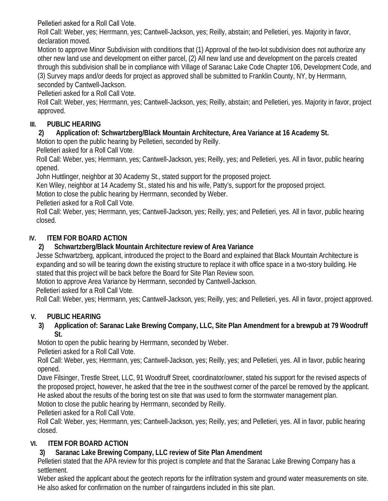Pelletieri asked for a Roll Call Vote.

Roll Call: Weber, yes; Herrmann, yes; Cantwell-Jackson, yes; Reilly, abstain; and Pelletieri, yes. Majority in favor, declaration moved.

Motion to approve Minor Subdivision with conditions that (1) Approval of the two-lot subdivision does not authorize any other new land use and development on either parcel, (2) All new land use and development on the parcels created through this subdivision shall be in compliance with Village of Saranac Lake Code Chapter 106, Development Code, and (3) Survey maps and/or deeds for project as approved shall be submitted to Franklin County, NY, by Herrmann, seconded by Cantwell-Jackson.

Pelletieri asked for a Roll Call Vote.

Roll Call: Weber, yes; Herrmann, yes; Cantwell-Jackson, yes; Reilly, abstain; and Pelletieri, yes. Majority in favor, project approved.

## **III. PUBLIC HEARING**

## **2) Application of: Schwartzberg/Black Mountain Architecture, Area Variance at 16 Academy St.**

Motion to open the public hearing by Pelletieri, seconded by Reilly.

Pelletieri asked for a Roll Call Vote.

Roll Call: Weber, yes; Herrmann, yes; Cantwell-Jackson, yes; Reilly, yes; and Pelletieri, yes. All in favor, public hearing opened.

John Huttlinger, neighbor at 30 Academy St., stated support for the proposed project.

Ken Wiley, neighbor at 14 Academy St., stated his and his wife, Patty's, support for the proposed project.

Motion to close the public hearing by Herrmann, seconded by Weber.

Pelletieri asked for a Roll Call Vote.

Roll Call: Weber, yes; Herrmann, yes; Cantwell-Jackson, yes; Reilly, yes; and Pelletieri, yes. All in favor, public hearing closed.

# **IV. ITEM FOR BOARD ACTION**

## **2) Schwartzberg/Black Mountain Architecture review of Area Variance**

Jesse Schwartzberg, applicant, introduced the project to the Board and explained that Black Mountain Architecture is expanding and so will be tearing down the existing structure to replace it with office space in a two-story building. He stated that this project will be back before the Board for Site Plan Review soon.

Motion to approve Area Variance by Herrmann, seconded by Cantwell-Jackson.

Pelletieri asked for a Roll Call Vote.

Roll Call: Weber, yes; Herrmann, yes; Cantwell-Jackson, yes; Reilly, yes; and Pelletieri, yes. All in favor, project approved.

# **V. PUBLIC HEARING**

#### **3) Application of: Saranac Lake Brewing Company, LLC, Site Plan Amendment for a brewpub at 79 Woodruff St.**

Motion to open the public hearing by Herrmann, seconded by Weber.

Pelletieri asked for a Roll Call Vote.

Roll Call: Weber, yes; Herrmann, yes; Cantwell-Jackson, yes; Reilly, yes; and Pelletieri, yes. All in favor, public hearing opened.

Dave Filsinger, Trestle Street, LLC, 91 Woodruff Street, coordinator/owner, stated his support for the revised aspects of the proposed project, however, he asked that the tree in the southwest corner of the parcel be removed by the applicant. He asked about the results of the boring test on site that was used to form the stormwater management plan. Motion to close the public hearing by Herrmann, seconded by Reilly.

Pelletieri asked for a Roll Call Vote.

Roll Call: Weber, yes; Herrmann, yes; Cantwell-Jackson, yes; Reilly, yes; and Pelletieri, yes. All in favor, public hearing closed.

# **VI. ITEM FOR BOARD ACTION**

# **3) Saranac Lake Brewing Company, LLC review of Site Plan Amendment**

Pelletieri stated that the APA review for this project is complete and that the Saranac Lake Brewing Company has a settlement.

Weber asked the applicant about the geotech reports for the infiltration system and ground water measurements on site. He also asked for confirmation on the number of raingardens included in this site plan.